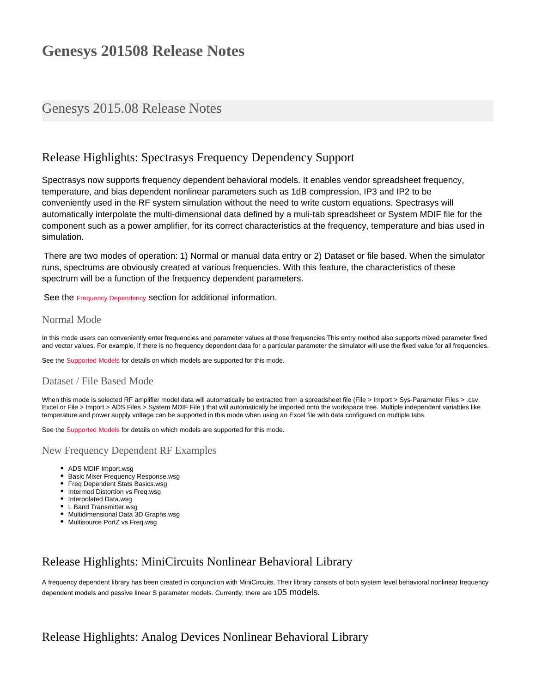# **Genesys 201508 Release Notes**

# Genesys 2015.08 Release Notes

# Release Highlights: Spectrasys Frequency Dependency Support

Spectrasys now supports frequency dependent behavioral models. It enables vendor spreadsheet frequency, temperature, and bias dependent nonlinear parameters such as 1dB compression, IP3 and IP2 to be conveniently used in the RF system simulation without the need to write custom equations. Spectrasys will automatically interpolate the multi-dimensional data defined by a muli-tab spreadsheet or System MDIF file for the component such as a power amplifier, for its correct characteristics at the frequency, temperature and bias used in simulation.

There are two modes of operation: 1) Normal or manual data entry or 2) Dataset or file based. When the simulator runs, spectrums are obviously created at various frequencies. With this feature, the characteristics of these spectrum will be a function of the frequency dependent parameters.

See the [Frequency Dependency](http://edadocs.software.keysight.com/display/genesys201508/Frequency+Dependency) section for additional information.

### Normal Mode

In this mode users can conveniently enter frequencies and parameter values at those frequencies.This entry method also supports mixed parameter fixed and vector values. For example, if there is no frequency dependent data for a particular parameter the simulator will use the fixed value for all frequencies.

See the [Supported Models](http://edadocs.software.keysight.com/display/genesys201508/Frequency+Dependency#FrequencyDependency-SupportedModels) for details on which models are supported for this mode.

## Dataset / File Based Mode

When this mode is selected RF amplifier model data will automatically be extracted from a spreadsheet file (File > Import > Sys-Parameter Files > .csv, Excel or File > Import > ADS Files > System MDIF File ) that will automatically be imported onto the workspace tree. Multiple independent variables like temperature and power supply voltage can be supported in this mode when using an Excel file with data configured on multiple tabs.

See the [Supported Models](http://edadocs.software.keysight.com/display/genesys201508/Frequency+Dependency#FrequencyDependency-SupportedModels) for details on which models are supported for this mode.

## New Frequency Dependent RF Examples

- ADS MDIF Import.wsg
- **Basic Mixer Frequency Response.wsg**
- Freq Dependent Stats Basics.wsg
- Intermod Distortion vs Freq.wsg
- Interpolated Data.wsg
- L Band Transmitter.wsg Multidimensional Data 3D Graphs.wsg
- Multisource PortZ vs Freq.wsg

# Release Highlights: MiniCircuits Nonlinear Behavioral Library

A frequency dependent library has been created in conjunction with MiniCircuits. Their library consists of both system level behavioral nonlinear frequency dependent models and passive linear S parameter models. Currently, there are 105 models.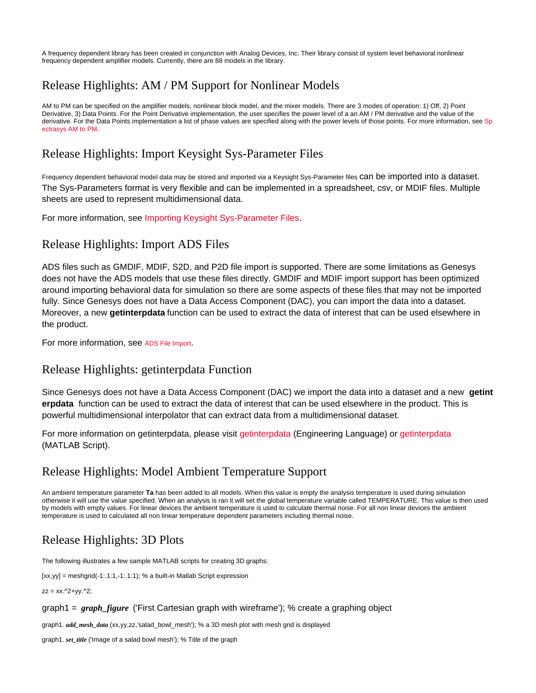A frequency dependent library has been created in conjunction with Analog Devices, Inc. Their library consist of system level behavioral nonlinear frequency dependent amplifier models. Currently, there are 88 models in the library.

# Release Highlights: AM / PM Support for Nonlinear Models

AM to PM can be specified on the amplifier models, nonlinear block model, and the mixer models. There are 3 modes of operation: 1) Off, 2) Point Derivative, 3) Data Points. For the Point Derivative implementation, the user specifies the power level of a an AM / PM derivative and the value of the derivative. For the Data Points implementation a list of phase values are specified along with the power levels of those points. For more information, see [Sp](http://edadocs.software.keysight.com/display/genesys201508/Spectrasys+AM+to+PM) [ectrasys AM to PM.](http://edadocs.software.keysight.com/display/genesys201508/Spectrasys+AM+to+PM)

# Release Highlights: Import Keysight Sys-Parameter Files

Frequency dependent behavioral model data may be stored and imported via a Keysight Sys-Parameter files Can be imported into a dataset. The Sys-Parameters format is very flexible and can be implemented in a spreadsheet, csv, or MDIF files. Multiple sheets are used to represent multidimensional data.

For more information, see [Importing Keysight Sys-Parameter Files.](http://edadocs.software.keysight.com/display/genesys201508/Importing+Sys-Parameter+Files)

# Release Highlights: Import ADS Files

ADS files such as GMDIF, MDIF, S2D, and P2D file import is supported. There are some limitations as Genesys does not have the ADS models that use these files directly. GMDIF and MDIF import support has been optimized around importing behavioral data for simulation so there are some aspects of these files that may not be imported fully. Since Genesys does not have a Data Access Component (DAC), you can import the data into a dataset. Moreover, a new **getinterpdata** function can be used to extract the data of interest that can be used elsewhere in the product.

For more information, see [ADS File Import](http://edadocs.software.keysight.com/display/genesys201508/Importing+Data+Files+Using+Genesys).

# Release Highlights: getinterpdata Function

Since Genesys does not have a Data Access Component (DAC) we import the data into a dataset and a new **getint erpdata** function can be used to extract the data of interest that can be used elsewhere in the product. This is powerful multidimensional interpolator that can extract data from a multidimensional dataset.

For more information on getinterpdata, please visit [getinterpdata](http://edadocs.software.keysight.com/display/genesys201508/getinterpdata) (Engineering Language) or [getinterpdata](http://edadocs.software.keysight.com/display/genesys201508/function_getinterpdata) (MATLAB Script).

# Release Highlights: Model Ambient Temperature Support

An ambient temperature parameter **Ta** has been added to all models. When this value is empty the analysis temperature is used during simulation otherwise it will use the value specified. When an analysis is ran it will set the global temperature variable called TEMPERATURE. This value is then used by models with empty values. For linear devices the ambient temperature is used to calculate thermal noise. For all non linear devices the ambient temperature is used to calculated all non linear temperature dependent parameters including thermal noise.

# Release Highlights: 3D Plots

The following illustrates a few sample MATLAB scripts for creating 3D graphs:

 $[xx,yy] = meshgrid(-1:.1:1,-1:.1:1); %a built-in Matlab Script expression$ 

 $zz = xx.^2+yy.^2$ ;

### graph1 = *graph\_figure* ('First Cartesian graph with wireframe'); % create a graphing object

graph1. *add\_mesh\_data* (xx,yy,zz,'salad\_bowl\_mesh'); % a 3D mesh plot with mesh grid is displayed

graph1. *set\_title* ('Image of a salad bowl mesh'); % Title of the graph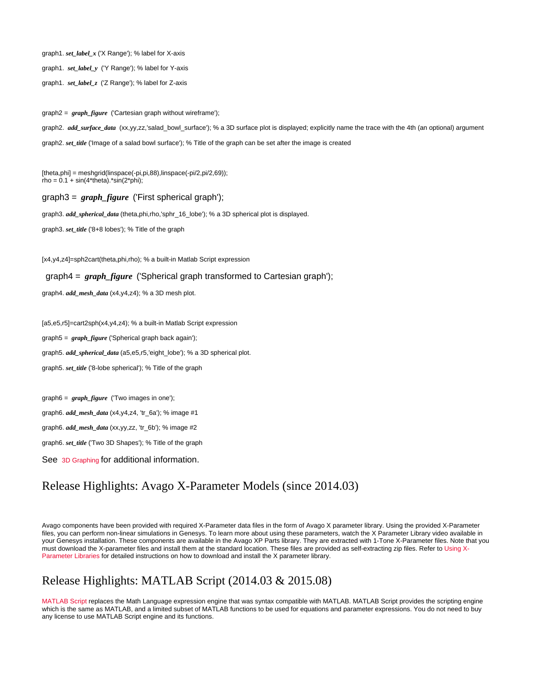graph1. *set\_label\_x* ('X Range'); % label for X-axis

graph1. *set\_label\_y* ('Y Range'); % label for Y-axis

graph1. *set\_label\_z* ('Z Range'); % label for Z-axis

graph2 = *graph\_figure* ('Cartesian graph without wireframe');

graph2. *add\_surface\_data* (xx,yy,zz,'salad\_bowl\_surface'); % a 3D surface plot is displayed; explicitly name the trace with the 4th (an optional) argument graph2. *set\_title* ('Image of a salad bowl surface'); % Title of the graph can be set after the image is created

[theta,phi] = meshgrid(linspace(-pi,pi,88),linspace(-pi/2,pi/2,69));  $rho = 0.1 + \sin(4*theta) \cdot \sin(2*phi)$ ;

graph3 = *graph\_figure* ('First spherical graph');

graph3. *add\_spherical\_data* (theta,phi,rho,'sphr\_16\_lobe'); % a 3D spherical plot is displayed.

graph3. *set\_title* ('8+8 lobes'); % Title of the graph

[x4,y4,z4]=sph2cart(theta,phi,rho); % a built-in Matlab Script expression

graph4 = *graph\_figure* ('Spherical graph transformed to Cartesian graph');

graph4. *add\_mesh\_data* (x4,y4,z4); % a 3D mesh plot.

[a5,e5,r5]=cart2sph(x4,y4,z4); % a built-in Matlab Script expression graph5 = *graph\_figure* ('Spherical graph back again'); graph5. *add\_spherical\_data* (a5,e5,r5,'eight\_lobe'); % a 3D spherical plot. graph5. *set\_title* ('8-lobe spherical'); % Title of the graph

graph6 = *graph\_figure* ('Two images in one');

graph6. *add\_mesh\_data* (x4,y4,z4, 'tr\_6a'); % image #1

graph6. *add\_mesh\_data* (xx,yy,zz, 'tr\_6b'); % image #2

graph6. *set\_title* ('Two 3D Shapes'); % Title of the graph

See [3D Graphing](http://edadocs.software.keysight.com/display/genesys201508/3D+Graphing) for additional information.

# Release Highlights: Avago X-Parameter Models (since 2014.03)

Avago components have been provided with required X-Parameter data files in the form of Avago X parameter library. Using the provided X-Parameter files, you can perform non-linear simulations in Genesys. To learn more about using these parameters, watch the X Parameter Library video available in your Genesys installation. These components are available in the Avago XP Parts library. They are extracted with 1-Tone X-Parameter files. Note that you must download the X-parameter files and install them at the standard location. These files are provided as self-extracting zip files. Refer to [Using X-](http://edadocs.software.keysight.com/display/genesys201508/Using+X-Parameters+Libraries)[Parameter Libraries](http://edadocs.software.keysight.com/display/genesys201508/Using+X-Parameters+Libraries) for detailed instructions on how to download and install the X parameter library.

## Release Highlights: MATLAB Script (2014.03 & 2015.08)

[MATLAB Script](http://edadocs.software.keysight.com/display/genesys201508/MATLAB+Script) replaces the Math Language expression engine that was syntax compatible with MATLAB. MATLAB Script provides the scripting engine which is the same as MATLAB, and a limited subset of MATLAB functions to be used for equations and parameter expressions. You do not need to buy any license to use MATLAB Script engine and its functions.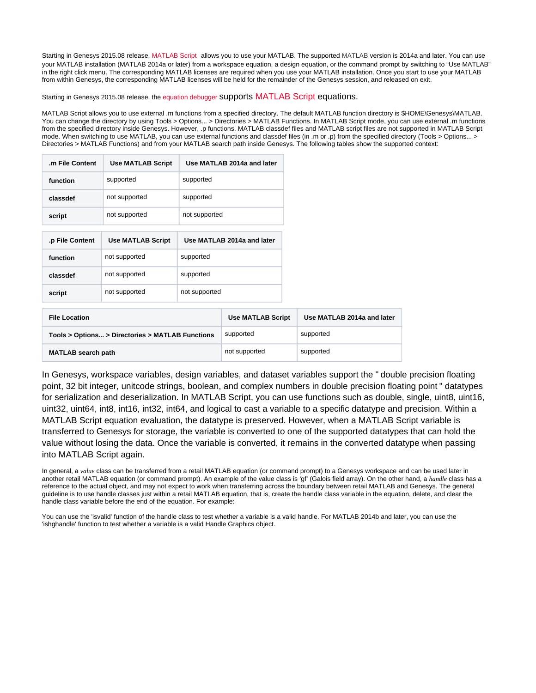Starting in Genesys 2015.08 release, [MATLAB Script](http://edadocs.software.keysight.com/display/genesys201508/MATLAB+Script) allows you to use your MATLAB. The supported MATLAB version is 2014a and later. You can use your MATLAB installation (MATLAB 2014a or later) from a workspace equation, a design equation, or the command prompt by switching to "Use MATLAB" in the right click menu. The corresponding MATLAB licenses are required when you use your MATLAB installation. Once you start to use your MATLAB from within Genesys, the corresponding MATLAB licenses will be held for the remainder of the Genesys session, and released on exit.

Starting in Genesys 2015.08 release, the [equation debugger](http://edadocs.software.keysight.com/display/genesys201508/Debugging) supports [MATLAB Script](http://edadocs.software.keysight.com/display/genesys201508/MATLAB+Script) equations.

MATLAB Script allows you to use external .m functions from a specified directory. The default MATLAB function directory is \$HOME\Genesys\MATLAB. You can change the directory by using Tools > Options... > Directories > MATLAB Functions. In MATLAB Script mode, you can use external .m functions from the specified directory inside Genesys. However, .p functions, MATLAB classdef files and MATLAB script files are not supported in MATLAB Script mode. When switching to use MATLAB, you can use external functions and classdef files (in .m or .p) from the specified directory (Tools > Options... > Directories > MATLAB Functions) and from your MATLAB search path inside Genesys. The following tables show the supported context:

| m File Content  | <b>Use MATLAB Script</b> | Use MATLAB 2014a and later |  |
|-----------------|--------------------------|----------------------------|--|
| function        | supported                | supported                  |  |
| classdef        | not supported            | supported                  |  |
| script          | not supported            | not supported              |  |
|                 |                          |                            |  |
|                 |                          |                            |  |
| .p File Content | <b>Use MATLAB Script</b> | Use MATLAB 2014a and later |  |
| function        | not supported            | supported                  |  |
| classdef        | not supported            | supported                  |  |

| <b>File Location</b>                             | <b>Use MATLAB Script</b> | Use MATLAB 2014a and later |
|--------------------------------------------------|--------------------------|----------------------------|
| Tools > Options > Directories > MATLAB Functions | supported                | supported                  |
| <b>MATLAB</b> search path                        | not supported            | supported                  |

In Genesys, workspace variables, design variables, and dataset variables support the " double precision floating point, 32 bit integer, unitcode strings, boolean, and complex numbers in double precision floating point " datatypes for serialization and deserialization. In MATLAB Script, you can use functions such as double, single, uint8, uint16, uint32, uint64, int8, int16, int32, int64, and logical to cast a variable to a specific datatype and precision. Within a MATLAB Script equation evaluation, the datatype is preserved. However, when a MATLAB Script variable is transferred to Genesys for storage, the variable is converted to one of the supported datatypes that can hold the value without losing the data. Once the variable is converted, it remains in the converted datatype when passing into MATLAB Script again.

In general, a *value* class can be transferred from a retail MATLAB equation (or command prompt) to a Genesys workspace and can be used later in another retail MATLAB equation (or command prompt). An example of the value class is 'gf' (Galois field array). On the other hand, a *handle* class has a reference to the actual object, and may not expect to work when transferring across the boundary between retail MATLAB and Genesys. The general guideline is to use handle classes just within a retail MATLAB equation, that is, create the handle class variable in the equation, delete, and clear the handle class variable before the end of the equation. For example:

You can use the 'isvalid' function of the handle class to test whether a variable is a valid handle. For MATLAB 2014b and later, you can use the 'ishghandle' function to test whether a variable is a valid Handle Graphics object.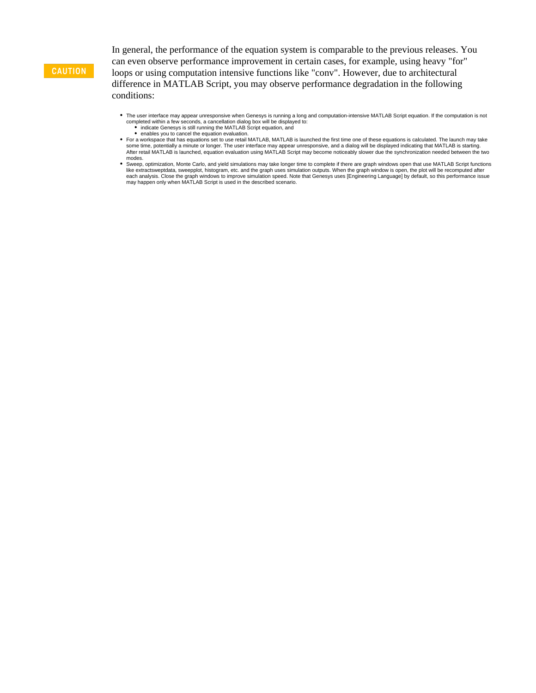### **CAUTION**

In general, the performance of the equation system is comparable to the previous releases. You can even observe performance improvement in certain cases, for example, using heavy "for" loops or using computation intensive functions like "conv". However, due to architectural difference in MATLAB Script, you may observe performance degradation in the following conditions:

- The user interface may appear unresponsive when Genesys is running a long and computation-intensive MATLAB Script equation. If the computation is not completed within a few seconds, a cancellation dialog box will be displayed to: indicate Genesys is still running the MATLAB Script equation, and
	- enables you to cancel the equation evaluation.
- For a workspace that has equations set to use retail MATLAB, MATLAB is launched the first time one of these equations is calculated. The launch may take<br>some time, potentially a minute or longer. The user interface may app modes.
- Sweep, optimization, Monte Carlo, and yield simulations may take longer time to complete if there are graph windows open that use MATLAB Script functions like extractsweptdata, sweepplot, histogram, etc. and the graph uses simulation outputs. When the graph window is open, the plot will be recomputed after<br>each analysis. Close the graph windows to improve simulation speed. may happen only when MATLAB Script is used in the described scenario.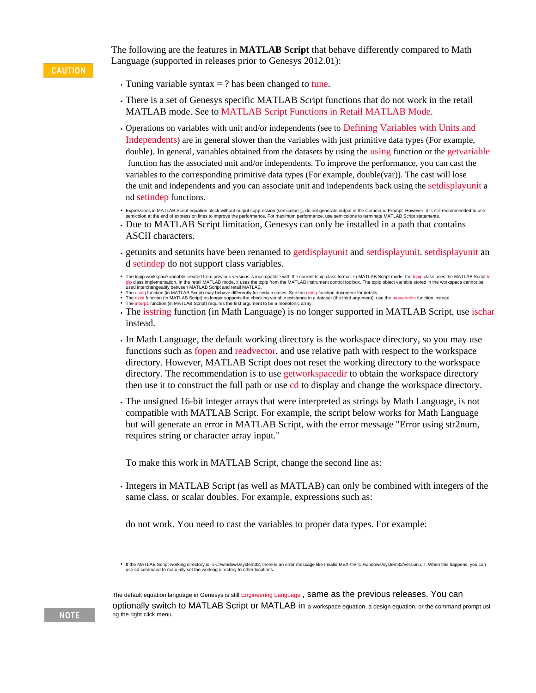**CAUTION** 

The following are the features in **MATLAB Script** that behave differently compared to Math Language (supported in releases prior to Genesys 2012.01):

- Tuning variable syntax  $=$  ? has been changed to [tune.](http://edadocs.software.keysight.com/display/genesys201508/function_tune)
- There is a set of Genesys specific MATLAB Script functions that do not work in the retail MATLAB mode. See to [MATLAB Script Functions in Retail MATLAB Mode](http://edadocs.software.keysight.com/display/genesys201508/MATLAB+Script+Function+Reference#MATLABScriptFunctionReference-MATLABScriptFunctionReference).
- Operations on variables with unit and/or independents (see to [Defining Variables with Units and](http://edadocs.software.keysight.com/display/genesys201508/Defining+Variables+with+Units+and+Independents)  [Independents](http://edadocs.software.keysight.com/display/genesys201508/Defining+Variables+with+Units+and+Independents)) are in general slower than the variables with just primitive data types (For example, double). In general, variables obtained from the datasets by using the [using](http://edadocs.software.keysight.com/display/genesys201508/function_using) function or the [getvariable](http://edadocs.software.keysight.com/display/genesys201508/function_getvariable) function has the associated unit and/or independents. To improve the performance, you can cast the variables to the corresponding primitive data types (For example, double(var)). The cast will lose the unit and independents and you can associate unit and independents back using the [setdisplayunit](http://edadocs.software.keysight.com/display/genesys201508/function_setdisplayunit) a nd [setindep](http://edadocs.software.keysight.com/display/genesys201508/function_setindep) functions.
- Expressions in MATLAB Script equation block without output suppression (semicolon ;), do not generate output in the Command Prompt. However, it is still recommended to use nicolon at the end of expression lines to improve the performance. For maximum performance, use semicolons to terminate MATLAB Script statements.
- Due to MATLAB Script limitation, Genesys can only be installed in a path that contains ASCII characters.
- getunits and setunits have been renamed to [getdisplayunit](http://edadocs.software.keysight.com/display/genesys201508/function_getdisplayunit) and [setdisplayunit. setdisplayunit](http://edadocs.software.keysight.com/display/genesys201508/function_setdisplayunit) an d [setindep](http://edadocs.software.keysight.com/display/genesys201508/function_setindep) do not support class variables.
- The to[pip](http://edadocs.software.keysight.com/display/genesys201508/function_tcpip) workspace variable created from previous versions is incompatible with the current topip class format. In MATLAB Script mode, the topip class uses the MATLAB Script to<br>pip class implementation. In the retail MATL used interchangeably between MATLAB Script and retail MATLAB.
- The [using](http://edadocs.software.keysight.com/display/genesys201508/function_using) function (in MATLAB Script) may behave differently for certain cases. See the [using](http://edadocs.software.keysight.com/display/genesys201508/function_using) function document for details.<br>The [exist](http://edadocs.software.keysight.com/display/genesys201508/function_exist) function (in MATLAB Script) no longer supports the checking variable existence in a dat
- 
- The [isstring](http://edadocs.software.keysight.com/display/genesys201508/function_isstring) function (in Math Language) is no longer supported in MATLAB Script, use [ischar](http://edadocs.software.keysight.com/display/genesys201508/function_ischar) instead.
- In Math Language, the default working directory is the workspace directory, so you may use functions such as [fopen](http://edadocs.software.keysight.com/display/genesys201508/function_fopen) and [readvector](http://edadocs.software.keysight.com/display/genesys201508/function_readvector), and use relative path with respect to the workspace directory. However, MATLAB Script does not reset the working directory to the workspace directory. The recommendation is to use [getworkspacedir](http://edadocs.software.keysight.com/display/genesys201508/function_getworkspacedir) to obtain the workspace directory then use it to construct the full path or use [cd](http://edadocs.software.keysight.com/display/genesys201508/function_cd) to display and change the workspace directory.
- The unsigned 16-bit integer arrays that were interpreted as strings by Math Language, is not compatible with MATLAB Script. For example, the script below works for Math Language but will generate an error in MATLAB Script, with the error message "Error using str2num, requires string or character array input."

To make this work in MATLAB Script, change the second line as:

Integers in MATLAB Script (as well as MATLAB) can only be combined with integers of the same class, or scalar doubles. For example, expressions such as:

do not work. You need to cast the variables to proper data types. For example:

. If the MATLAB Script working directory is in C:\windows\system32, there is an error message like Invalid MEX-file 'C:/windows/system32/version.dll'. When this happens, you can use cd command to manually set the working directory to other locations.

The default equation language in Genesys is still [Engineering Language](http://edadocs.software.keysight.com/display/genesys201508/Engineering+Language) , same as the previous releases. You can optionally switch to MATLAB Script or MATLAB in a workspace equation, a design equation, or the command prompt usi ng the right click menu.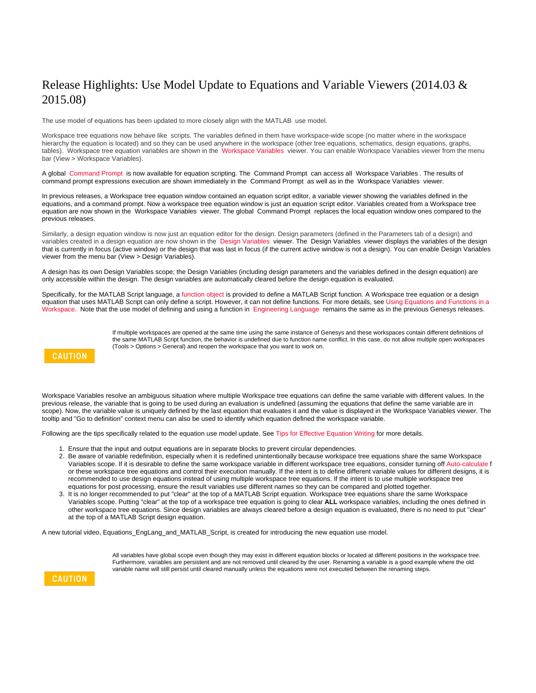# Release Highlights: Use Model Update to Equations and Variable Viewers (2014.03 & 2015.08)

The use model of equations has been updated to more closely align with the MATLAB use model.

Workspace tree equations now behave like scripts. The variables defined in them have workspace-wide scope (no matter where in the workspace hierarchy the equation is located) and so they can be used anywhere in the workspace (other tree equations, schematics, design equations, graphs, tables). Workspace tree equation variables are shown in the [Workspace Variables](http://edadocs.software.keysight.com/display/genesys201508/Workspace+Variables) viewer. You can enable Workspace Variables viewer from the menu bar (View > Workspace Variables).

A global [Command Prompt](http://edadocs.software.keysight.com/display/genesys201508/Command+Prompt) is now available for equation scripting. The Command Prompt can access all Workspace Variables . The results of command prompt expressions execution are shown immediately in the Command Prompt as well as in the Workspace Variables viewer.

In previous releases, a Workspace tree equation window contained an equation script editor, a variable viewer showing the variables defined in the equations, and a command prompt. Now a workspace tree equation window is just an equation script editor. Variables created from a Workspace tree equation are now shown in the Workspace Variables viewer. The global Command Prompt replaces the local equation window ones compared to the previous releases.

Similarly, a design equation window is now just an equation editor for the design. Design parameters (defined in the Parameters tab of a design) and variables created in a design equation are now shown in the [Design Variables](http://edadocs.software.keysight.com/display/genesys201508/Design+Variables) viewer. The Design Variables viewer displays the variables of the design that is currently in focus (active window) or the design that was last in focus (if the current active window is not a design). You can enable Design Variables viewer from the menu bar (View > Design Variables).

A design has its own Design Variables scope; the Design Variables (including design parameters and the variables defined in the design equation) are only accessible within the design. The design variables are automatically cleared before the design equation is evaluated.

Specifically, for the MATLAB Script language, a [function object](http://edadocs.software.keysight.com/display/genesys201508/Using+Equations+and+Functions+in+Workspace) is provided to define a MATLAB Script function. A Workspace tree equation or a design equation that uses MATLAB Script can only define a script. However, it can not define functions. For more details, see Using Equations and Functions in a [Workspace.](http://edadocs.software.keysight.com/display/genesys201508/Using+Equations+and+Functions+in+Workspace) Note that the use model of defining and using a function in [Engineering Language](http://edadocs.software.keysight.com/display/genesys201501/Engineering+Language) remains the same as in the previous Genesys releases.

> If multiple workspaces are opened at the same time using the same instance of Genesys and these workspaces contain different definitions of the same MATLAB Script function, the behavior is undefined due to function name conflict. In this case, do not allow multiple open workspaces (Tools > Options > General) and reopen the workspace that you want to work on.

## **CAUTION**

Workspace Variables resolve an ambiguous situation where multiple Workspace tree equations can define the same variable with different values. In the previous release, the variable that is going to be used during an evaluation is undefined (assuming the equations that define the same variable are in scope). Now, the variable value is uniquely defined by the last equation that evaluates it and the value is displayed in the Workspace Variables viewer. The tooltip and "Go to definition" context menu can also be used to identify which equation defined the workspace variable.

Following are the tips specifically related to the equation use model update. See [Tips for Effective Equation Writing](http://edadocs.software.keysight.com/display/genesys201508/Tips+for+Effective+Equation+Writing) for more details.

- 1. Ensure that the input and output equations are in separate blocks to prevent circular dependencies.
- 2. Be aware of variable redefinition, especially when it is redefined unintentionally because workspace tree equations share the same Workspace Variables scope. If it is desirable to define the same workspace variable in different workspace tree equations, consider turning off [Auto-calculate](http://edadocs.software.keysight.com/display/genesys201508/Automatic+Calculation+of+Equations) f or these workspace tree equations and control their execution manually. If the intent is to define different variable values for different designs, it is recommended to use design equations instead of using multiple workspace tree equations. If the intent is to use multiple workspace tree equations for post processing, ensure the result variables use different names so they can be compared and plotted together.
- 3. It is no longer recommended to put "clear" at the top of a MATLAB Script equation. Workspace tree equations share the same Workspace Variables scope. Putting "clear" at the top of a workspace tree equation is going to clear **ALL** workspace variables, including the ones defined in other workspace tree equations. Since design variables are always cleared before a design equation is evaluated, there is no need to put "clear" at the top of a MATLAB Script design equation.

A new tutorial video, Equations\_EngLang\_and\_MATLAB\_Script, is created for introducing the new equation use model.



All variables have global scope even though they may exist in different equation blocks or located at different positions in the workspace tree. Furthermore, variables are persistent and are not removed until cleared by the user. Renaming a variable is a good example where the old variable name will still persist until cleared manually unless the equations were not executed between the renaming steps.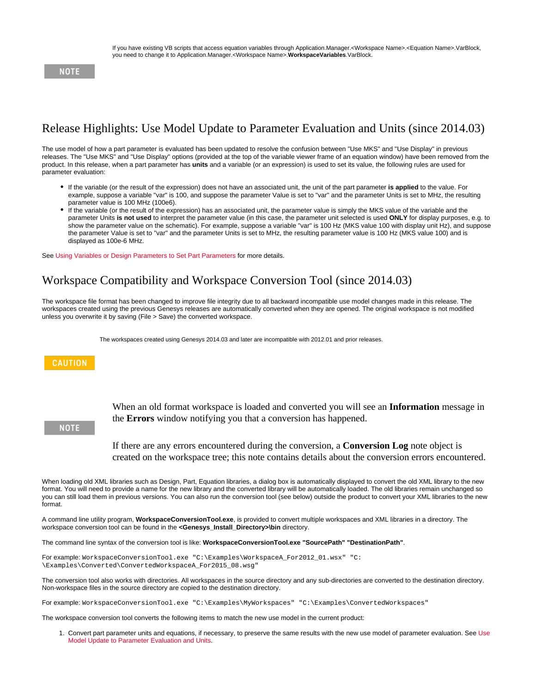### **NOTE**

# Release Highlights: Use Model Update to Parameter Evaluation and Units (since 2014.03)

The use model of how a part parameter is evaluated has been updated to resolve the confusion between "Use MKS" and "Use Display" in previous releases. The "Use MKS" and "Use Display" options (provided at the top of the variable viewer frame of an equation window) have been removed from the product. In this release, when a part parameter has **units** and a variable (or an expression) is used to set its value, the following rules are used for parameter evaluation:

- If the variable (or the result of the expression) does not have an associated unit, the unit of the part parameter **is applied** to the value. For example, suppose a variable "var" is 100, and suppose the parameter Value is set to "var" and the parameter Units is set to MHz, the resulting parameter value is 100 MHz (100e6).
- If the variable (or the result of the expression) has an associated unit, the parameter value is simply the MKS value of the variable and the parameter Units **is not used** to interpret the parameter value (in this case, the parameter unit selected is used **ONLY** for display purposes, e.g. to show the parameter value on the schematic). For example, suppose a variable "var" is 100 Hz (MKS value 100 with display unit Hz), and suppose the parameter Value is set to "var" and the parameter Units is set to MHz, the resulting parameter value is 100 Hz (MKS value 100) and is displayed as 100e-6 MHz.

See [Using Variables or Design Parameters to Set Part Parameters](http://edadocs.software.keysight.com/display/genesys201508/Using+Variables+or+Design+Parameters+to+Set+Part+Parameters) for more details.

# Workspace Compatibility and Workspace Conversion Tool (since 2014.03)

The workspace file format has been changed to improve file integrity due to all backward incompatible use model changes made in this release. The workspaces created using the previous Genesys releases are automatically converted when they are opened. The original workspace is not modified unless you overwrite it by saving (File > Save) the converted workspace.

The workspaces created using Genesys 2014.03 and later are incompatible with 2012.01 and prior releases.

### **CAUTION**

**NOTE** 

When an old format workspace is loaded and converted you will see an **Information** message in the **Errors** window notifying you that a conversion has happened.

If there are any errors encountered during the conversion, a **Conversion Log** note object is created on the workspace tree; this note contains details about the conversion errors encountered.

When loading old XML libraries such as Design, Part, Equation libraries, a dialog box is automatically displayed to convert the old XML library to the new format. You will need to provide a name for the new library and the converted library will be automatically loaded. The old libraries remain unchanged so you can still load them in previous versions. You can also run the conversion tool (see below) outside the product to convert your XML libraries to the new format.

A command line utility program, **WorkspaceConversionTool.exe**, is provided to convert multiple workspaces and XML libraries in a directory. The workspace conversion tool can be found in the **<Genesys\_Install\_Directory>\bin** directory.

The command line syntax of the conversion tool is like: **WorkspaceConversionTool.exe "SourcePath" "DestinationPath"**.

For example: WorkspaceConversionTool.exe "C:\Examples\WorkspaceA\_For2012\_01.wsx" "C: \Examples\Converted\ConvertedWorkspaceA\_For2015\_08.wsg"

The conversion tool also works with directories. All workspaces in the source directory and any sub-directories are converted to the destination directory. Non-workspace files in the source directory are copied to the destination directory.

For example: WorkspaceConversionTool.exe "C:\Examples\MyWorkspaces" "C:\Examples\ConvertedWorkspaces"

The workspace conversion tool converts the following items to match the new use model in the current product:

1. Convert part parameter units and equations, if necessary, to preserve the same results with the new use model of parameter evaluation. See [Use](http://edadocs.software.keysight.com/display/genesys201508/Release+Notes#ReleaseNotes-unit_use_model)  [Model Update to Parameter Evaluation and Units](http://edadocs.software.keysight.com/display/genesys201508/Release+Notes#ReleaseNotes-unit_use_model).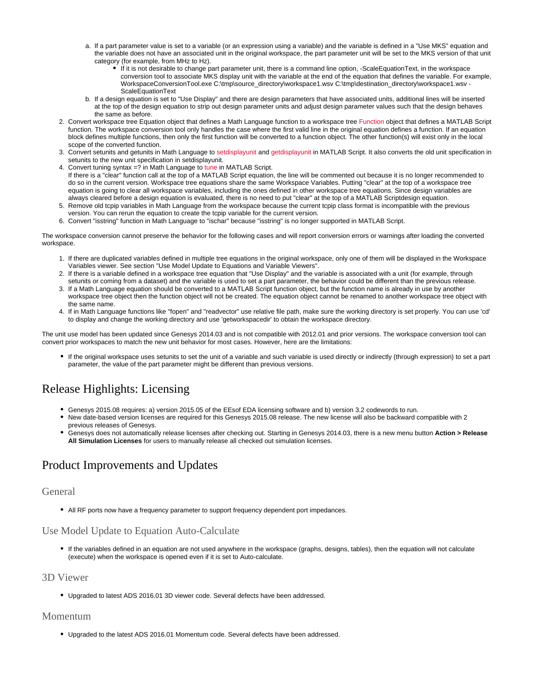- a. If a part parameter value is set to a variable (or an expression using a variable) and the variable is defined in a "Use MKS" equation and the variable does not have an associated unit in the original workspace, the part parameter unit will be set to the MKS version of that unit category (for example, from MHz to Hz).
	- If it is not desirable to change part parameter unit, there is a command line option, -ScaleEquationText, in the workspace conversion tool to associate MKS display unit with the variable at the end of the equation that defines the variable. For example, WorkspaceConversionTool.exe C:\tmp\source\_directory\workspace1.wsv C:\tmp\destination\_directory\workspace1.wsv - **ScaleEquationText**
- b. If a design equation is set to "Use Display" and there are design parameters that have associated units, additional lines will be inserted at the top of the design equation to strip out design parameter units and adjust design parameter values such that the design behaves the same as before.
- 2. Convert workspace tree Equation object that defines a Math Language function to a workspace tree [Function](http://edadocs.software.keysight.com/display/genesys201508/Using+Equations+and+Functions+in+Workspace) object that defines a MATLAB Script function. The workspace conversion tool only handles the case where the first valid line in the original equation defines a function. If an equation block defines multiple functions, then only the first function will be converted to a function object. The other function(s) will exist only in the local scope of the converted function.
- 3. Convert setunits and getunits in Math Language to [setdisplayunit](http://edadocs.software.keysight.com/display/genesys201508/function_setdisplayunit) and [getdisplayunit](http://edadocs.software.keysight.com/display/genesys201508/function_getdisplayunit) in MATLAB Script. It also converts the old unit specification in setunits to the new unit specification in setdisplayunit.
- 4. Convert tuning syntax =? in Math Language to [tune](http://edadocs.software.keysight.com/display/genesys201508/function_math_tune_bak) in MATLAB Script. If there is a "clear" function call at the top of a MATLAB Script equation, the line will be commented out because it is no longer recommended to do so in the current version. Workspace tree equations share the same Workspace Variables. Putting "clear" at the top of a workspace tree equation is going to clear all workspace variables, including the ones defined in other workspace tree equations. Since design variables are always cleared before a design equation is evaluated, there is no need to put "clear" at the top of a MATLAB Scriptdesign equation.
- 5. Remove old tcpip variables in Math Language from the workspace because the current tcpip class format is incompatible with the previous version. You can rerun the equation to create the tcpip variable for the current version.
- 6. Convert "isstring" function in Math Language to "ischar" because "isstring" is no longer supported in MATLAB Script.

The workspace conversion cannot preserve the behavior for the following cases and will report conversion errors or warnings after loading the converted workspace.

- 1. If there are duplicated variables defined in multiple tree equations in the original workspace, only one of them will be displayed in the Workspace Variables viewer. See section "Use Model Update to Equations and Variable Viewers".
- 2. If there is a variable defined in a workspace tree equation that "Use Display" and the variable is associated with a unit (for example, through setunits or coming from a dataset) and the variable is used to set a part parameter, the behavior could be different than the previous release.
- 3. If a Math Language equation should be converted to a MATLAB Script function object, but the function name is already in use by another workspace tree object then the function object will not be created. The equation object cannot be renamed to another workspace tree object with the same name.
- 4. If in Math Language functions like "fopen" and "readvector" use relative file path, make sure the working directory is set properly. You can use 'cd' to display and change the working directory and use 'getworkspacedir' to obtain the workspace directory.

The unit use model has been updated since Genesys 2014.03 and is not compatible with 2012.01 and prior versions. The workspace conversion tool can convert prior workspaces to match the new unit behavior for most cases. However, here are the limitations:

If the original workspace uses setunits to set the unit of a variable and such variable is used directly or indirectly (through expression) to set a part parameter, the value of the part parameter might be different than previous versions.

# Release Highlights: Licensing

- Genesys 2015.08 requires: a) version 2015.05 of the EEsof EDA licensing software and b) version 3.2 codewords to run.
- $\bullet$ New date-based version licenses are required for this Genesys 2015.08 release. The new license will also be backward compatible with 2 previous releases of Genesys.
- Genesys does not automatically release licenses after checking out. Starting in Genesys 2014.03, there is a new menu button **Action > Release All Simulation Licenses** for users to manually release all checked out simulation licenses.

# Product Improvements and Updates

## General

All RF ports now have a frequency parameter to support frequency dependent port impedances.

## Use Model Update to Equation Auto-Calculate

If the variables defined in an equation are not used anywhere in the workspace (graphs, designs, tables), then the equation will not calculate (execute) when the workspace is opened even if it is set to Auto-calculate.

## 3D Viewer

Upgraded to latest ADS 2016.01 3D viewer code. Several defects have been addressed.

## Momentum

Upgraded to the latest ADS 2016.01 Momentum code. Several defects have been addressed.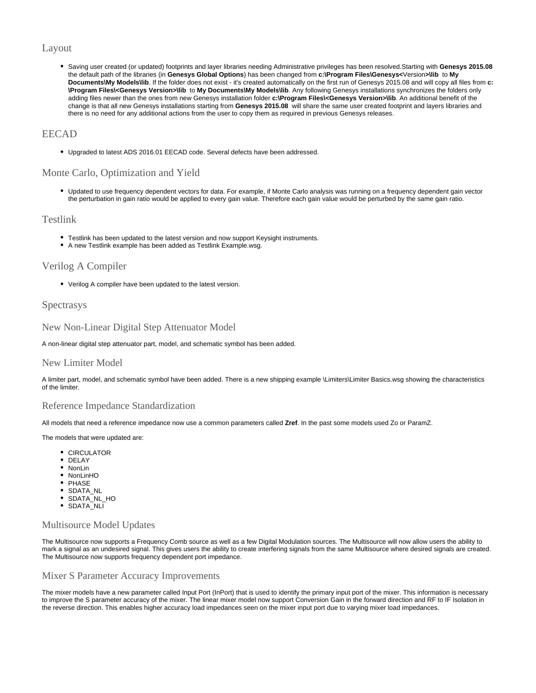## Layout

Saving user created (or updated) footprints and layer libraries needing Administrative privileges has been resolved.Starting with **Genesys 2015.08** the default path of the libraries (in **Genesys Global Options**) has been changed from **c:\Program Files\Genesys<**Version**>\lib** to **My Documents\My Models\lib**. If the folder does not exist - it's created automatically on the first run of Genesys 2015.08 and will copy all files from **c: \Program Files\<Genesys Version>\lib** to **My Documents\My Models\lib**. Any following Genesys installations synchronizes the folders only adding files newer than the ones from new Genesys installation folder **c:\Program Files\<Genesys Version>\lib**. An additional benefit of the change is that all new Genesys installations starting from **Genesys 2015.08** will share the same user created footprint and layers libraries and there is no need for any additional actions from the user to copy them as required in previous Genesys releases.

### EECAD

Upgraded to latest ADS 2016.01 EECAD code. Several defects have been addressed.

## Monte Carlo, Optimization and Yield

Updated to use frequency dependent vectors for data. For example, if Monte Carlo analysis was running on a frequency dependent gain vector the perturbation in gain ratio would be applied to every gain value. Therefore each gain value would be perturbed by the same gain ratio.

### Testlink

- Testlink has been updated to the latest version and now support Keysight instruments.
- A new Testlink example has been added as Testlink Example.wsg.

## Verilog A Compiler

Verilog A compiler have been updated to the latest version.

## **Spectrasys**

New Non-Linear Digital Step Attenuator Model

A non-linear digital step attenuator part, model, and schematic symbol has been added.

### New Limiter Model

A limiter part, model, and schematic symbol have been added. There is a new shipping example \Limiters\Limiter Basics.wsg showing the characteristics of the limiter.

### Reference Impedance Standardization

All models that need a reference impedance now use a common parameters called **Zref**. In the past some models used Zo or ParamZ.

#### The models that were updated are:

- CIRCULATOR
- DELAY
- NonLin
- NonLinHO
- PHASE
- SDATA\_NL
- SDATA\_NL\_HO
- SDATA\_NLI

### Multisource Model Updates

The Multisource now supports a Frequency Comb source as well as a few Digital Modulation sources. The Multisource will now allow users the ability to mark a signal as an undesired signal. This gives users the ability to create interfering signals from the same Multisource where desired signals are created. The Multisource now supports frequency dependent port impedance.

#### Mixer S Parameter Accuracy Improvements

The mixer models have a new parameter called Input Port (InPort) that is used to identify the primary input port of the mixer. This information is necessary to improve the S parameter accuracy of the mixer. The linear mixer model now support Conversion Gain in the forward direction and RF to IF Isolation in the reverse direction. This enables higher accuracy load impedances seen on the mixer input port due to varying mixer load impedances.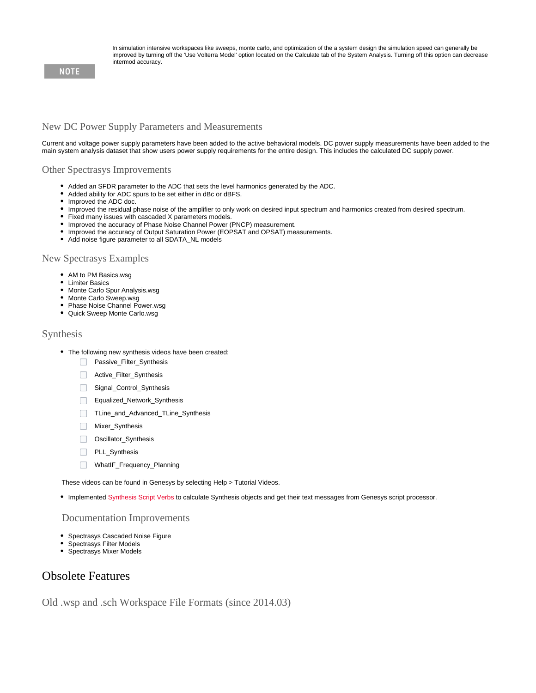In simulation intensive workspaces like sweeps, monte carlo, and optimization of the a system design the simulation speed can generally be improved by turning off the 'Use Volterra Model' option located on the Calculate tab of the System Analysis. Turning off this option can decrease intermod accuracy.

### **NOTE**

## New DC Power Supply Parameters and Measurements

Current and voltage power supply parameters have been added to the active behavioral models. DC power supply measurements have been added to the main system analysis dataset that show users power supply requirements for the entire design. This includes the calculated DC supply power.

#### Other Spectrasys Improvements

- Added an SFDR parameter to the ADC that sets the level harmonics generated by the ADC.
- $\bullet$ Added ability for ADC spurs to be set either in dBc or dBFS.
- Improved the ADC doc.
- Improved the residual phase noise of the amplifier to only work on desired input spectrum and harmonics created from desired spectrum.
- Fixed many issues with cascaded X parameters models.
- Improved the accuracy of Phase Noise Channel Power (PNCP) measurement.
- $\bullet$  Improved the accuracy of Output Saturation Power (EOPSAT and OPSAT) measurements.
- Add noise figure parameter to all SDATA\_NL models

#### New Spectrasys Examples

- AM to PM Basics.wsg
- Limiter Basics
- Monte Carlo Spur Analysis.wsg
- Monte Carlo Sweep.wsg
- Phase Noise Channel Power.wsg
- Quick Sweep Monte Carlo.wsg

### Synthesis

- The following new synthesis videos have been created:
	- **Passive\_Filter\_Synthesis**
	- Active\_Filter\_Synthesis
	- Signal\_Control\_Synthesis
	- Equalized\_Network\_Synthesis
	- $\Box$ TLine\_and\_Advanced\_TLine\_Synthesis
	- **Mixer\_Synthesis**
	- Oscillator\_Synthesis
	- $\Box$ PLL\_Synthesis
	- $\Box$ WhatIF\_Frequency\_Planning

These videos can be found in Genesys by selecting Help > Tutorial Videos.

Implemented [Synthesis Script Verbs](http://edadocs.software.keysight.com/display/genesys201508/Script+Verbs#ScriptVerbs-Synthesis) to calculate Synthesis objects and get their text messages from Genesys script processor.

#### Documentation Improvements

- Spectrasys Cascaded Noise Figure
- Spectrasys Filter Models
- Spectrasys Mixer Models

## Obsolete Features

Old .wsp and .sch Workspace File Formats (since 2014.03)